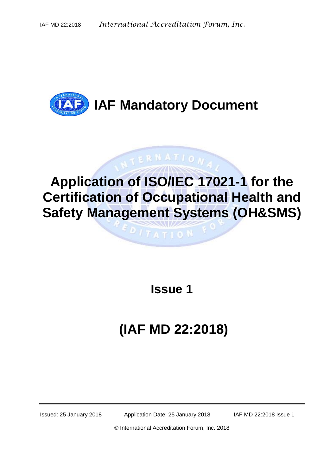

# **Application of ISO/IEC 17021-1 for the Certification of Occupational Health and Safety Management Systems (OH&SMS)**

 $ITATIO$ <sup>N</sup>

**STERNATION** 

**Issue 1**

# **(IAF MD 22:2018)**

Issued: 25 January 2018 Application Date: 25 January 2018 IAF MD 22:2018 Issue 1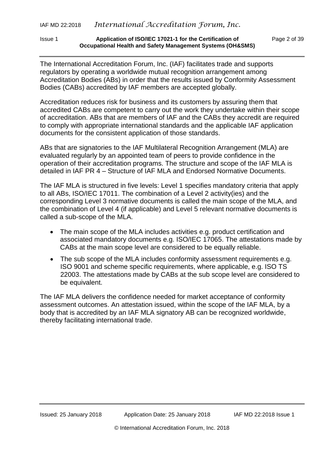#### Issue 1 **Application of ISO/IEC 17021-1 for the Certification of** Page 2 of 39 **Occupational Health and Safety Management Systems (OH&SMS)**

The International Accreditation Forum, Inc. (IAF) facilitates trade and supports regulators by operating a worldwide mutual recognition arrangement among Accreditation Bodies (ABs) in order that the results issued by Conformity Assessment Bodies (CABs) accredited by IAF members are accepted globally.

Accreditation reduces risk for business and its customers by assuring them that accredited CABs are competent to carry out the work they undertake within their scope of accreditation. ABs that are members of IAF and the CABs they accredit are required to comply with appropriate international standards and the applicable IAF application documents for the consistent application of those standards.

ABs that are signatories to the IAF Multilateral Recognition Arrangement (MLA) are evaluated regularly by an appointed team of peers to provide confidence in the operation of their accreditation programs. The structure and scope of the IAF MLA is detailed in IAF PR 4 – Structure of IAF MLA and Endorsed Normative Documents.

The IAF MLA is structured in five levels: Level 1 specifies mandatory criteria that apply to all ABs, ISO/IEC 17011. The combination of a Level 2 activity(ies) and the corresponding Level 3 normative documents is called the main scope of the MLA, and the combination of Level 4 (if applicable) and Level 5 relevant normative documents is called a sub-scope of the MLA.

- The main scope of the MLA includes activities e.g. product certification and associated mandatory documents e.g. ISO/IEC 17065. The attestations made by CABs at the main scope level are considered to be equally reliable.
- The sub scope of the MLA includes conformity assessment requirements e.g. ISO 9001 and scheme specific requirements, where applicable, e.g. ISO TS 22003. The attestations made by CABs at the sub scope level are considered to be equivalent.

The IAF MLA delivers the confidence needed for market acceptance of conformity assessment outcomes. An attestation issued, within the scope of the IAF MLA, by a body that is accredited by an IAF MLA signatory AB can be recognized worldwide, thereby facilitating international trade.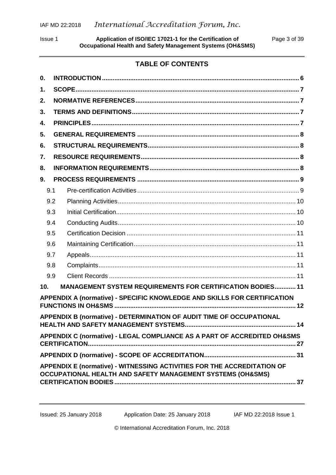Issue 1 **Application of ISO/IEC 17021-1 for the Certification of** Page 3 of 39 **Occupational Health and Safety Management Systems (OH&SMS)**

# **TABLE OF CONTENTS**

| 0.              |                                                                                                                                       |
|-----------------|---------------------------------------------------------------------------------------------------------------------------------------|
| 1.              |                                                                                                                                       |
| 2.              |                                                                                                                                       |
| 3.              |                                                                                                                                       |
| 4.              |                                                                                                                                       |
| 5.              |                                                                                                                                       |
| 6.              |                                                                                                                                       |
| 7.              |                                                                                                                                       |
| 8.              |                                                                                                                                       |
| 9.              |                                                                                                                                       |
| 9.1             |                                                                                                                                       |
| 9.2             |                                                                                                                                       |
| 9.3             |                                                                                                                                       |
| 9.4             |                                                                                                                                       |
| 9.5             |                                                                                                                                       |
| 9.6             |                                                                                                                                       |
| 9.7             |                                                                                                                                       |
| 9.8             |                                                                                                                                       |
| 9.9             |                                                                                                                                       |
| 10 <sub>1</sub> | <b>MANAGEMENT SYSTEM REQUIREMENTS FOR CERTIFICATION BODIES 11</b>                                                                     |
|                 | APPENDIX A (normative) - SPECIFIC KNOWLEDGE AND SKILLS FOR CERTIFICATION                                                              |
|                 | APPENDIX B (normative) - DETERMINATION OF AUDIT TIME OF OCCUPATIONAL<br>14                                                            |
|                 | APPENDIX C (normative) - LEGAL COMPLIANCE AS A PART OF ACCREDITED OH&SMS                                                              |
|                 |                                                                                                                                       |
|                 | APPENDIX E (normative) - WITNESSING ACTIVITIES FOR THE ACCREDITATION OF<br>OCCUPATIONAL HEALTH AND SAFETY MANAGEMENT SYSTEMS (OH&SMS) |

Issued: 25 January 2018 Application Date: 25 January 2018 **IAF MD 22:2018 Issue 1**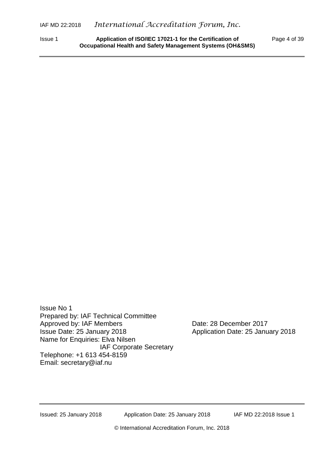Issue 1 **Application of ISO/IEC 17021-1 for the Certification of** Page 4 of 39 **Occupational Health and Safety Management Systems (OH&SMS)**

Issue No 1 Prepared by: IAF Technical Committee Approved by: IAF Members Date: 28 December 2017 Issue Date: 25 January 2018 Application Date: 25 January 2018 Name for Enquiries: Elva Nilsen IAF Corporate Secretary Telephone: +1 613 454-8159 Email: secretary@iaf.nu

Issued: 25 January 2018 Application Date: 25 January 2018 IAF MD 22:2018 Issue 1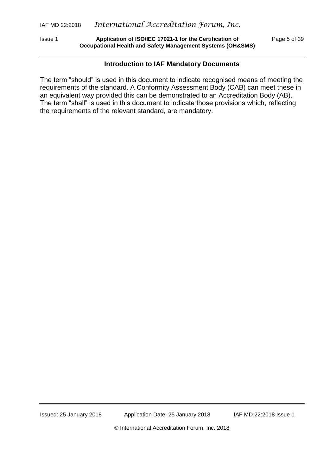Issue 1 **Application of ISO/IEC 17021-1 for the Certification of** Page 5 of 39 **Occupational Health and Safety Management Systems (OH&SMS)**

#### **Introduction to IAF Mandatory Documents**

The term "should" is used in this document to indicate recognised means of meeting the requirements of the standard. A Conformity Assessment Body (CAB) can meet these in an equivalent way provided this can be demonstrated to an Accreditation Body (AB). The term "shall" is used in this document to indicate those provisions which, reflecting the requirements of the relevant standard, are mandatory.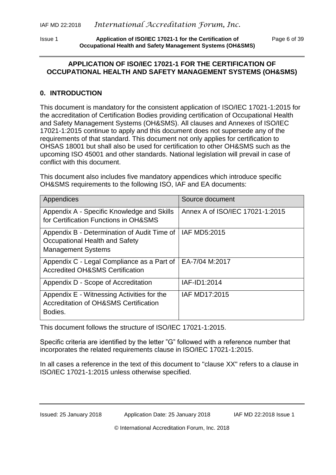Issue 1 **Application of ISO/IEC 17021-1 for the Certification of** Page 6 of 39 **Occupational Health and Safety Management Systems (OH&SMS)**

#### **APPLICATION OF ISO/IEC 17021-1 FOR THE CERTIFICATION OF OCCUPATIONAL HEALTH AND SAFETY MANAGEMENT SYSTEMS (OH&SMS)**

## <span id="page-5-0"></span>**0. INTRODUCTION**

This document is mandatory for the consistent application of ISO/IEC 17021-1:2015 for the accreditation of Certification Bodies providing certification of Occupational Health and Safety Management Systems (OH&SMS). All clauses and Annexes of ISO/IEC 17021-1:2015 continue to apply and this document does not supersede any of the requirements of that standard. This document not only applies for certification to OHSAS 18001 but shall also be used for certification to other OH&SMS such as the upcoming ISO 45001 and other standards. National legislation will prevail in case of conflict with this document.

This document also includes five mandatory appendices which introduce specific OH&SMS requirements to the following ISO, IAF and EA documents:

| Appendices                                                                                                 | Source document                 |
|------------------------------------------------------------------------------------------------------------|---------------------------------|
| Appendix A - Specific Knowledge and Skills<br>for Certification Functions in OH&SMS                        | Annex A of ISO/IEC 17021-1:2015 |
| Appendix B - Determination of Audit Time of<br>Occupational Health and Safety<br><b>Management Systems</b> | IAF MD5:2015                    |
| Appendix C - Legal Compliance as a Part of<br><b>Accredited OH&amp;SMS Certification</b>                   | EA-7/04 M:2017                  |
| Appendix D - Scope of Accreditation                                                                        | IAF-ID1:2014                    |
| Appendix E - Witnessing Activities for the<br>Accreditation of OH&SMS Certification<br>Bodies.             | IAF MD17:2015                   |

This document follows the structure of ISO/IEC 17021-1:2015.

Specific criteria are identified by the letter "G" followed with a reference number that incorporates the related requirements clause in ISO/IEC 17021-1:2015.

In all cases a reference in the text of this document to "clause XX" refers to a clause in ISO/IEC 17021-1:2015 unless otherwise specified.

Issued: 25 January 2018 Application Date: 25 January 2018 IAF MD 22:2018 Issue 1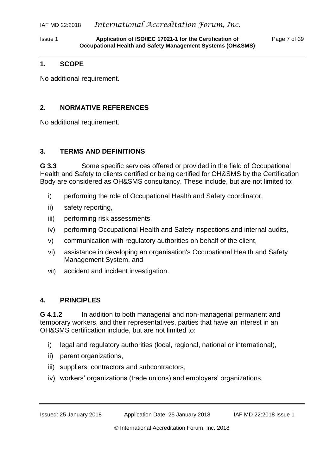Issue 1 **Application of ISO/IEC 17021-1 for the Certification of** Page 7 of 39 **Occupational Health and Safety Management Systems (OH&SMS)**

#### <span id="page-6-0"></span>**1. SCOPE**

No additional requirement.

#### <span id="page-6-1"></span>**2. NORMATIVE REFERENCES**

No additional requirement.

#### <span id="page-6-2"></span>**3. TERMS AND DEFINITIONS**

**G 3.3** Some specific services offered or provided in the field of Occupational Health and Safety to clients certified or being certified for OH&SMS by the Certification Body are considered as OH&SMS consultancy. These include, but are not limited to:

- i) performing the role of Occupational Health and Safety coordinator,
- ii) safety reporting,
- iii) performing risk assessments,
- iv) performing Occupational Health and Safety inspections and internal audits,
- v) communication with regulatory authorities on behalf of the client,
- vi) assistance in developing an organisation's Occupational Health and Safety Management System, and
- vii) accident and incident investigation.

## <span id="page-6-3"></span>**4. PRINCIPLES**

**G 4.1.2** In addition to both managerial and non-managerial permanent and temporary workers, and their representatives, parties that have an interest in an OH&SMS certification include, but are not limited to:

- i) legal and regulatory authorities (local, regional, national or international),
- ii) parent organizations,
- iii) suppliers, contractors and subcontractors,
- iv) workers' organizations (trade unions) and employers' organizations,

Issued: 25 January 2018 Application Date: 25 January 2018 IAF MD 22:2018 Issue 1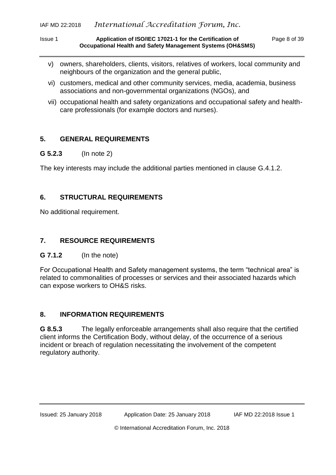Issue 1 **Application of ISO/IEC 17021-1 for the Certification of** Page 8 of 39 **Occupational Health and Safety Management Systems (OH&SMS)**

- v) owners, shareholders, clients, visitors, relatives of workers, local community and neighbours of the organization and the general public,
- vi) customers, medical and other community services, media, academia, business associations and non-governmental organizations (NGOs), and
- vii) occupational health and safety organizations and occupational safety and healthcare professionals (for example doctors and nurses).

## <span id="page-7-0"></span>**5. GENERAL REQUIREMENTS**

#### **G 5.2.3** (In note 2)

The key interests may include the additional parties mentioned in clause G.4.1.2.

# <span id="page-7-1"></span>**6. STRUCTURAL REQUIREMENTS**

No additional requirement.

## <span id="page-7-2"></span>**7. RESOURCE REQUIREMENTS**

## **G 7.1.2** (In the note)

For Occupational Health and Safety management systems, the term "technical area" is related to commonalities of processes or services and their associated hazards which can expose workers to OH&S risks.

# <span id="page-7-3"></span>**8. INFORMATION REQUIREMENTS**

**G 8.5.3** The legally enforceable arrangements shall also require that the certified client informs the Certification Body, without delay, of the occurrence of a serious incident or breach of regulation necessitating the involvement of the competent regulatory authority.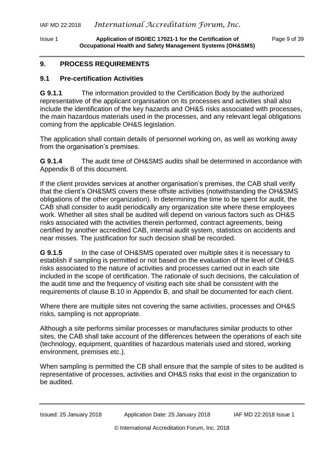Issue 1 **Application of ISO/IEC 17021-1 for the Certification of** Page 9 of 39 **Occupational Health and Safety Management Systems (OH&SMS)**

#### <span id="page-8-0"></span>**9. PROCESS REQUIREMENTS**

#### <span id="page-8-1"></span>**9.1 Pre-certification Activities**

**G 9.1.1** The information provided to the Certification Body by the authorized representative of the applicant organisation on its processes and activities shall also include the identification of the key hazards and OH&S risks associated with processes, the main hazardous materials used in the processes, and any relevant legal obligations coming from the applicable OH&S legislation.

The application shall contain details of personnel working on, as well as working away from the organisation's premises.

**G 9.1.4** The audit time of OH&SMS audits shall be determined in accordance with Appendix B of this document.

If the client provides services at another organisation's premises, the CAB shall verify that the client's OH&SMS covers these offsite activities (notwithstanding the OH&SMS obligations of the other organization). In determining the time to be spent for audit, the CAB shall consider to audit periodically any organization site where these employees work. Whether all sites shall be audited will depend on various factors such as OH&S risks associated with the activities therein performed, contract agreements, being certified by another accredited CAB, internal audit system, statistics on accidents and near misses. The justification for such decision shall be recorded.

**G 9.1.5** In the case of OH&SMS operated over multiple sites it is necessary to establish if sampling is permitted or not based on the evaluation of the level of OH&S risks associated to the nature of activities and processes carried out in each site included in the scope of certification. The rationale of such decisions, the calculation of the audit time and the frequency of visiting each site shall be consistent with the requirements of clause B.10 in Appendix B, and shall be documented for each client.

Where there are multiple sites not covering the same activities, processes and OH&S risks, sampling is not appropriate.

Although a site performs similar processes or manufactures similar products to other sites, the CAB shall take account of the differences between the operations of each site (technology, equipment, quantities of hazardous materials used and stored, working environment, premises etc.).

When sampling is permitted the CB shall ensure that the sample of sites to be audited is representative of processes, activities and OH&S risks that exist in the organization to be audited.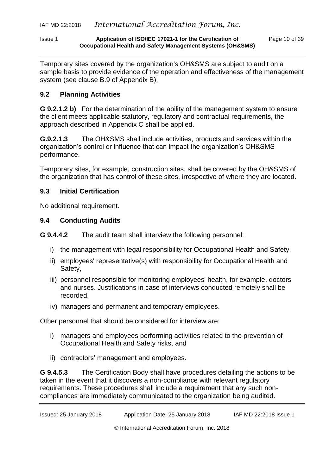#### Issue 1 **Application of ISO/IEC 17021-1 for the Certification of** Page 10 of 39 **Occupational Health and Safety Management Systems (OH&SMS)**

Temporary sites covered by the organization's OH&SMS are subject to audit on a sample basis to provide evidence of the operation and effectiveness of the management system (see clause B.9 of Appendix B).

## <span id="page-9-0"></span>**9.2 Planning Activities**

**G 9.2.1.2 b)** For the determination of the ability of the management system to ensure the client meets applicable statutory, regulatory and contractual requirements, the approach described in Appendix C shall be applied.

**G.9.2.1.3** The OH&SMS shall include activities, products and services within the organization's control or influence that can impact the organization's OH&SMS performance.

Temporary sites, for example, construction sites, shall be covered by the OH&SMS of the organization that has control of these sites, irrespective of where they are located.

#### <span id="page-9-1"></span>**9.3 Initial Certification**

No additional requirement.

#### <span id="page-9-2"></span>**9.4 Conducting Audits**

**G 9.4.4.2** The audit team shall interview the following personnel:

- i) the management with legal responsibility for Occupational Health and Safety,
- ii) employees' representative(s) with responsibility for Occupational Health and Safety,
- iii) personnel responsible for monitoring employees' health, for example, doctors and nurses. Justifications in case of interviews conducted remotely shall be recorded,
- iv) managers and permanent and temporary employees.

Other personnel that should be considered for interview are:

- i) managers and employees performing activities related to the prevention of Occupational Health and Safety risks, and
- ii) contractors' management and employees.

**G 9.4.5.3** The Certification Body shall have procedures detailing the actions to be taken in the event that it discovers a non-compliance with relevant regulatory requirements. These procedures shall include a requirement that any such noncompliances are immediately communicated to the organization being audited.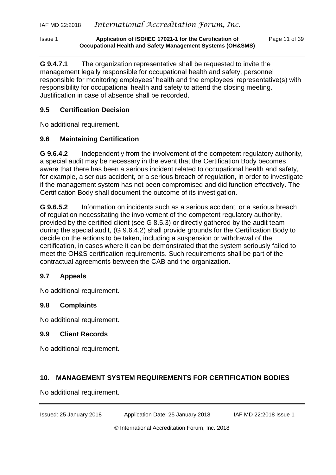Issue 1 **Application of ISO/IEC 17021-1 for the Certification of** Page 11 of 39 **Occupational Health and Safety Management Systems (OH&SMS)**

**G 9.4.7.1** The organization representative shall be requested to invite the management legally responsible for occupational health and safety, personnel responsible for monitoring employees' health and the employees' representative(s) with responsibility for occupational health and safety to attend the closing meeting. Justification in case of absence shall be recorded.

## <span id="page-10-0"></span>**9.5 Certification Decision**

No additional requirement.

# <span id="page-10-1"></span>**9.6 Maintaining Certification**

**G 9.6.4.2** Independently from the involvement of the competent regulatory authority, a special audit may be necessary in the event that the Certification Body becomes aware that there has been a serious incident related to occupational health and safety, for example, a serious accident, or a serious breach of regulation, in order to investigate if the management system has not been compromised and did function effectively. The Certification Body shall document the outcome of its investigation.

**G 9.6.5.2** Information on incidents such as a serious accident, or a serious breach of regulation necessitating the involvement of the competent regulatory authority, provided by the certified client (see G 8.5.3) or directly gathered by the audit team during the special audit, (G 9.6.4.2) shall provide grounds for the Certification Body to decide on the actions to be taken, including a suspension or withdrawal of the certification, in cases where it can be demonstrated that the system seriously failed to meet the OH&S certification requirements. Such requirements shall be part of the contractual agreements between the CAB and the organization.

# <span id="page-10-2"></span>**9.7 Appeals**

No additional requirement.

# <span id="page-10-3"></span>**9.8 Complaints**

No additional requirement.

## <span id="page-10-4"></span>**9.9 Client Records**

No additional requirement.

# <span id="page-10-5"></span>**10. MANAGEMENT SYSTEM REQUIREMENTS FOR CERTIFICATION BODIES**

No additional requirement.

Issued: 25 January 2018 Application Date: 25 January 2018 IAF MD 22:2018 Issue 1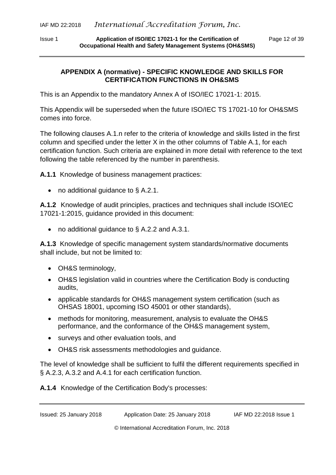Issue 1 **Application of ISO/IEC 17021-1 for the Certification of** Page 12 of 39 **Occupational Health and Safety Management Systems (OH&SMS)**

#### <span id="page-11-0"></span>**APPENDIX A (normative) - SPECIFIC KNOWLEDGE AND SKILLS FOR CERTIFICATION FUNCTIONS IN OH&SMS**

This is an Appendix to the mandatory Annex A of ISO/IEC 17021-1: 2015.

This Appendix will be superseded when the future ISO/IEC TS 17021-10 for OH&SMS comes into force.

The following clauses A.1.n refer to the criteria of knowledge and skills listed in the first column and specified under the letter X in the other columns of Table A.1, for each certification function. Such criteria are explained in more detail with reference to the text following the table referenced by the number in parenthesis.

**A.1.1** Knowledge of business management practices:

• no additional guidance to § A.2.1.

**A.1.2** Knowledge of audit principles, practices and techniques shall include ISO/IEC 17021-1:2015, guidance provided in this document:

• no additional guidance to § A.2.2 and A.3.1.

**A.1.3** Knowledge of specific management system standards/normative documents shall include, but not be limited to:

- OH&S terminology,
- OH&S legislation valid in countries where the Certification Body is conducting audits,
- applicable standards for OH&S management system certification (such as OHSAS 18001, upcoming ISO 45001 or other standards),
- methods for monitoring, measurement, analysis to evaluate the OH&S performance, and the conformance of the OH&S management system,
- surveys and other evaluation tools, and
- OH&S risk assessments methodologies and guidance.

The level of knowledge shall be sufficient to fulfil the different requirements specified in § A.2.3, A.3.2 and A.4.1 for each certification function.

**A.1.4** Knowledge of the Certification Body's processes: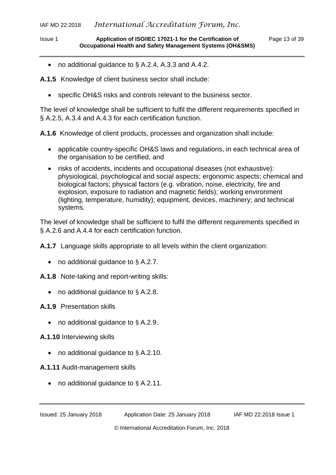## IAF MD 22:2018 *International Accreditation Forum, Inc.*

#### Issue 1 **Application of ISO/IEC 17021-1 for the Certification of** Page 13 of 39 **Occupational Health and Safety Management Systems (OH&SMS)**

• no additional guidance to § A.2.4, A.3.3 and A.4.2.

**A.1.5** Knowledge of client business sector shall include:

specific OH&S risks and controls relevant to the business sector.

The level of knowledge shall be sufficient to fulfil the different requirements specified in § A.2.5, A.3.4 and A.4.3 for each certification function.

**A.1.6** Knowledge of client products, processes and organization shall include:

- applicable country-specific OH&S laws and regulations, in each technical area of the organisation to be certified, and
- risks of accidents, incidents and occupational diseases (not exhaustive): physiological, psychological and social aspects; ergonomic aspects; chemical and biological factors; physical factors (e.g. vibration, noise, electricity, fire and explosion, exposure to radiation and magnetic fields); working environment (lighting, temperature, humidity); equipment, devices, machinery; and technical systems.

The level of knowledge shall be sufficient to fulfil the different requirements specified in § A.2.6 and A.4.4 for each certification function.

**A.1.7** Language skills appropriate to all levels within the client organization:

• no additional guidance to § A.2.7.

**A.1.8** Note-taking and report-writing skills:

• no additional guidance to § A.2.8.

**A.1.9** Presentation skills

- no additional guidance to § A.2.9.
- **A.1.10** Interviewing skills
	- no additional guidance to § A.2.10.

**A.1.11** Audit-management skills

• no additional guidance to § A.2.11.

Issued: 25 January 2018 Application Date: 25 January 2018 IAF MD 22:2018 Issue 1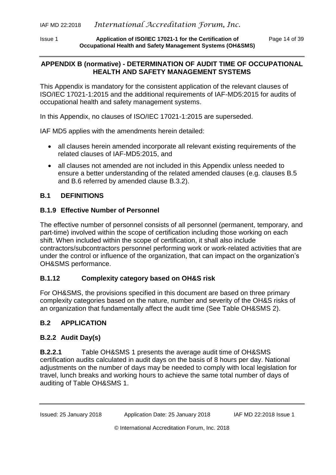Issue 1 **Application of ISO/IEC 17021-1 for the Certification of** Page 14 of 39 **Occupational Health and Safety Management Systems (OH&SMS)**

## <span id="page-13-0"></span>**APPENDIX B (normative) - DETERMINATION OF AUDIT TIME OF OCCUPATIONAL HEALTH AND SAFETY MANAGEMENT SYSTEMS**

This Appendix is mandatory for the consistent application of the relevant clauses of ISO/IEC 17021-1:2015 and the additional requirements of IAF-MD5:2015 for audits of occupational health and safety management systems.

In this Appendix, no clauses of ISO/IEC 17021-1:2015 are superseded.

IAF MD5 applies with the amendments herein detailed:

- all clauses herein amended incorporate all relevant existing requirements of the related clauses of IAF-MD5:2015, and
- all clauses not amended are not included in this Appendix unless needed to ensure a better understanding of the related amended clauses (e.g. clauses B.5 and B.6 referred by amended clause B.3.2).

## **B.1 DEFINITIONS**

## **B.1.9 Effective Number of Personnel**

The effective number of personnel consists of all personnel (permanent, temporary, and part-time) involved within the scope of certification including those working on each shift. When included within the scope of certification, it shall also include contractors/subcontractors personnel performing work or work-related activities that are under the control or influence of the organization, that can impact on the organization's OH&SMS performance.

# **B.1.12 Complexity category based on OH&S risk**

For OH&SMS, the provisions specified in this document are based on three primary complexity categories based on the nature, number and severity of the OH&S risks of an organization that fundamentally affect the audit time (See Table OH&SMS 2).

# **B.2 APPLICATION**

# **B.2.2 Audit Day(s)**

**B.2.2.1** Table OH&SMS 1 presents the average audit time of OH&SMS certification audits calculated in audit days on the basis of 8 hours per day. National adjustments on the number of days may be needed to comply with local legislation for travel, lunch breaks and working hours to achieve the same total number of days of auditing of Table OH&SMS 1.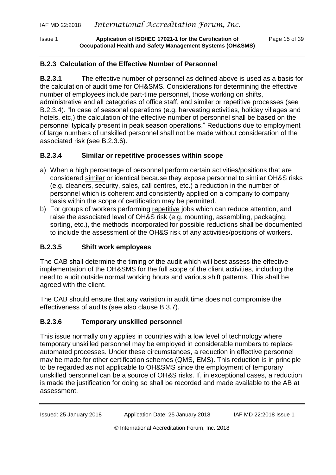Issue 1 **Application of ISO/IEC 17021-1 for the Certification of** Page 15 of 39 **Occupational Health and Safety Management Systems (OH&SMS)**

#### **B.2.3 Calculation of the Effective Number of Personnel**

**B.2.3.1** The effective number of personnel as defined above is used as a basis for the calculation of audit time for OH&SMS. Considerations for determining the effective number of employees include part-time personnel, those working on shifts, administrative and all categories of office staff, and similar or repetitive processes (see B.2.3.4). "In case of seasonal operations (e.g. harvesting activities, holiday villages and hotels, etc,) the calculation of the effective number of personnel shall be based on the personnel typically present in peak season operations." Reductions due to employment of large numbers of unskilled personnel shall not be made without consideration of the associated risk (see B.2.3.6).

#### **B.2.3.4 Similar or repetitive processes within scope**

- a) When a high percentage of personnel perform certain activities/positions that are considered similar or identical because they expose personnel to similar OH&S risks (e.g. cleaners, security, sales, call centres, etc.) a reduction in the number of personnel which is coherent and consistently applied on a company to company basis within the scope of certification may be permitted.
- b) For groups of workers performing repetitive jobs which can reduce attention, and raise the associated level of OH&S risk (e.g. mounting, assembling, packaging, sorting, etc.), the methods incorporated for possible reductions shall be documented to include the assessment of the OH&S risk of any activities/positions of workers.

## **B.2.3.5 Shift work employees**

The CAB shall determine the timing of the audit which will best assess the effective implementation of the OH&SMS for the full scope of the client activities, including the need to audit outside normal working hours and various shift patterns. This shall be agreed with the client.

The CAB should ensure that any variation in audit time does not compromise the effectiveness of audits (see also clause B 3.7).

## **B.2.3.6 Temporary unskilled personnel**

This issue normally only applies in countries with a low level of technology where temporary unskilled personnel may be employed in considerable numbers to replace automated processes. Under these circumstances, a reduction in effective personnel may be made for other certification schemes (QMS, EMS). This reduction is in principle to be regarded as not applicable to OH&SMS since the employment of temporary unskilled personnel can be a source of OH&S risks. If, in exceptional cases, a reduction is made the justification for doing so shall be recorded and made available to the AB at assessment.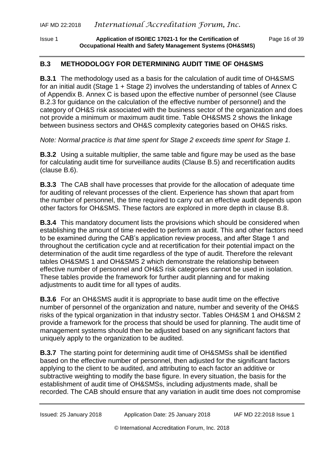Issue 1 **Application of ISO/IEC 17021-1 for the Certification of** Page 16 of 39 **Occupational Health and Safety Management Systems (OH&SMS)**

#### **B.3 METHODOLOGY FOR DETERMINING AUDIT TIME OF OH&SMS**

**B.3.1** The methodology used as a basis for the calculation of audit time of OH&SMS for an initial audit (Stage 1 + Stage 2) involves the understanding of tables of Annex C of Appendix B. Annex C is based upon the effective number of personnel (see Clause B.2.3 for guidance on the calculation of the effective number of personnel) and the category of OH&S risk associated with the business sector of the organization and does not provide a minimum or maximum audit time. Table OH&SMS 2 shows the linkage between business sectors and OH&S complexity categories based on OH&S risks.

*Note: Normal practice is that time spent for Stage 2 exceeds time spent for Stage 1.*

**B.3.2** Using a suitable multiplier, the same table and figure may be used as the base for calculating audit time for surveillance audits (Clause B.5) and recertification audits (clause B.6).

**B.3.3** The CAB shall have processes that provide for the allocation of adequate time for auditing of relevant processes of the client. Experience has shown that apart from the number of personnel, the time required to carry out an effective audit depends upon other factors for OH&SMS. These factors are explored in more depth in clause B.8.

**B.3.4** This mandatory document lists the provisions which should be considered when establishing the amount of time needed to perform an audit. This and other factors need to be examined during the CAB's application review process, and after Stage 1 and throughout the certification cycle and at recertification for their potential impact on the determination of the audit time regardless of the type of audit. Therefore the relevant tables OH&SMS 1 and OH&SMS 2 which demonstrate the relationship between effective number of personnel and OH&S risk categories cannot be used in isolation. These tables provide the framework for further audit planning and for making adjustments to audit time for all types of audits.

**B.3.6** For an OH&SMS audit it is appropriate to base audit time on the effective number of personnel of the organization and nature, number and severity of the OH&S risks of the typical organization in that industry sector. Tables OH&SM 1 and OH&SM 2 provide a framework for the process that should be used for planning. The audit time of management systems should then be adjusted based on any significant factors that uniquely apply to the organization to be audited.

**B.3.7** The starting point for determining audit time of OH&SMSs shall be identified based on the effective number of personnel, then adjusted for the significant factors applying to the client to be audited, and attributing to each factor an additive or subtractive weighting to modify the base figure. In every situation, the basis for the establishment of audit time of OH&SMSs, including adjustments made, shall be recorded. The CAB should ensure that any variation in audit time does not compromise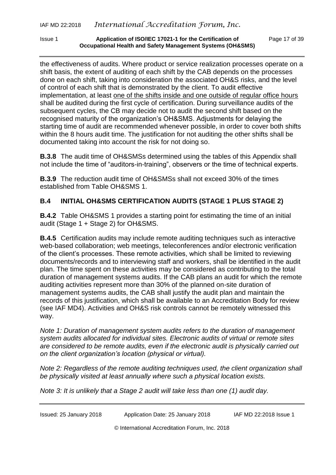Issue 1 **Application of ISO/IEC 17021-1 for the Certification of** Page 17 of 39 **Occupational Health and Safety Management Systems (OH&SMS)**

the effectiveness of audits. Where product or service realization processes operate on a shift basis, the extent of auditing of each shift by the CAB depends on the processes done on each shift, taking into consideration the associated OH&S risks, and the level of control of each shift that is demonstrated by the client. To audit effective implementation, at least one of the shifts inside and one outside of regular office hours shall be audited during the first cycle of certification. During surveillance audits of the subsequent cycles, the CB may decide not to audit the second shift based on the recognised maturity of the organization's OH&SMS. Adjustments for delaying the starting time of audit are recommended whenever possible, in order to cover both shifts within the 8 hours audit time. The justification for not auditing the other shifts shall be documented taking into account the risk for not doing so.

**B.3.8** The audit time of OH&SMSs determined using the tables of this Appendix shall not include the time of "auditors-in-training", observers or the time of technical experts.

**B.3.9** The reduction audit time of OH&SMSs shall not exceed 30% of the times established from Table OH&SMS 1.

# **B.4 INITIAL OH&SMS CERTIFICATION AUDITS (STAGE 1 PLUS STAGE 2)**

**B.4.2** Table OH&SMS 1 provides a starting point for estimating the time of an initial audit (Stage 1 + Stage 2) for OH&SMS.

**B.4.5** Certification audits may include remote auditing techniques such as interactive web-based collaboration; web meetings, teleconferences and/or electronic verification of the client's processes. These remote activities, which shall be limited to reviewing documents/records and to interviewing staff and workers, shall be identified in the audit plan. The time spent on these activities may be considered as contributing to the total duration of management systems audits. If the CAB plans an audit for which the remote auditing activities represent more than 30% of the planned on-site duration of management systems audits, the CAB shall justify the audit plan and maintain the records of this justification, which shall be available to an Accreditation Body for review (see IAF MD4). Activities and OH&S risk controls cannot be remotely witnessed this way.

*Note 1: Duration of management system audits refers to the duration of management system audits allocated for individual sites. Electronic audits of virtual or remote sites are considered to be remote audits, even if the electronic audit is physically carried out on the client organization's location (physical or virtual).*

*Note 2: Regardless of the remote auditing techniques used, the client organization shall be physically visited at least annually where such a physical location exists.*

*Note 3: It is unlikely that a Stage 2 audit will take less than one (1) audit day.*

| Issued: 25 January 2018 | Application Date: 25 January 2018 | IAF MD 22:2018 Issue 1 |
|-------------------------|-----------------------------------|------------------------|
|-------------------------|-----------------------------------|------------------------|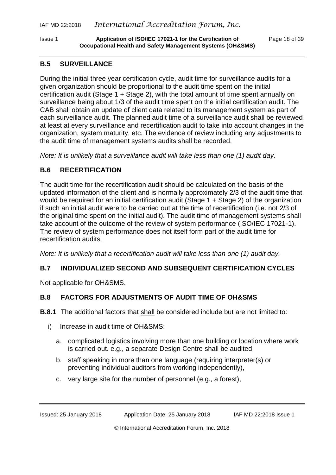Issue 1 **Application of ISO/IEC 17021-1 for the Certification of** Page 18 of 39 **Occupational Health and Safety Management Systems (OH&SMS)**

#### **B.5 SURVEILLANCE**

During the initial three year certification cycle, audit time for surveillance audits for a given organization should be proportional to the audit time spent on the initial certification audit (Stage 1 + Stage 2), with the total amount of time spent annually on surveillance being about 1/3 of the audit time spent on the initial certification audit. The CAB shall obtain an update of client data related to its management system as part of each surveillance audit. The planned audit time of a surveillance audit shall be reviewed at least at every surveillance and recertification audit to take into account changes in the organization, system maturity, etc. The evidence of review including any adjustments to the audit time of management systems audits shall be recorded.

*Note: It is unlikely that a surveillance audit will take less than one (1) audit day.*

## **B.6 RECERTIFICATION**

The audit time for the recertification audit should be calculated on the basis of the updated information of the client and is normally approximately 2/3 of the audit time that would be required for an initial certification audit (Stage 1 + Stage 2) of the organization if such an initial audit were to be carried out at the time of recertification (i.e. not 2/3 of the original time spent on the initial audit). The audit time of management systems shall take account of the outcome of the review of system performance (ISO/IEC 17021-1). The review of system performance does not itself form part of the audit time for recertification audits.

*Note: It is unlikely that a recertification audit will take less than one (1) audit day.*

## **B.7 INDIVIDUALIZED SECOND AND SUBSEQUENT CERTIFICATION CYCLES**

Not applicable for OH&SMS.

## **B.8 FACTORS FOR ADJUSTMENTS OF AUDIT TIME OF OH&SMS**

- **B.8.1** The additional factors that shall be considered include but are not limited to:
	- i) Increase in audit time of OH&SMS:
		- a. complicated logistics involving more than one building or location where work is carried out. e.g., a separate Design Centre shall be audited,
		- b. staff speaking in more than one language (requiring interpreter(s) or preventing individual auditors from working independently),
		- c. very large site for the number of personnel (e.g., a forest),

Issued: 25 January 2018 Application Date: 25 January 2018 IAF MD 22:2018 Issue 1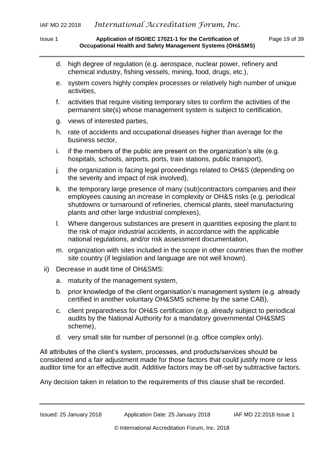#### Issue 1 **Application of ISO/IEC 17021-1 for the Certification of** Page 19 of 39 **Occupational Health and Safety Management Systems (OH&SMS)**

- d. high degree of regulation (e.g. aerospace, nuclear power, refinery and chemical industry, fishing vessels, mining, food, drugs, etc.),
- e. system covers highly complex processes or relatively high number of unique activities,
- f. activities that require visiting temporary sites to confirm the activities of the permanent site(s) whose management system is subject to certification,
- g. views of interested parties,
- h. rate of accidents and occupational diseases higher than average for the business sector,
- i. if the members of the public are present on the organization's site (e.g. hospitals, schools, airports, ports, train stations, public transport),
- j. the organization is facing legal proceedings related to OH&S (depending on the severity and impact of risk involved),
- k. the temporary large presence of many (sub)contractors companies and their employees causing an increase in complexity or OH&S risks (e.g. periodical shutdowns or turnaround of refineries, chemical plants, steel manufacturing plants and other large industrial complexes),
- l. Where dangerous substances are present in quantities exposing the plant to the risk of major industrial accidents, in accordance with the applicable national regulations, and/or risk assessment documentation,
- m. organization with sites included in the scope in other countries than the mother site country (if legislation and language are not well known).
- ii) Decrease in audit time of OH&SMS:
	- a. maturity of the management system,
	- b. prior knowledge of the client organisation's management system (e.g. already certified in another voluntary OH&SMS scheme by the same CAB),
	- c. client preparedness for OH&S certification (e.g. already subject to periodical audits by the National Authority for a mandatory governmental OH&SMS scheme),
	- d. very small site for number of personnel (e.g. office complex only).

All attributes of the client's system, processes, and products/services should be considered and a fair adjustment made for those factors that could justify more or less auditor time for an effective audit. Additive factors may be off-set by subtractive factors.

Any decision taken in relation to the requirements of this clause shall be recorded.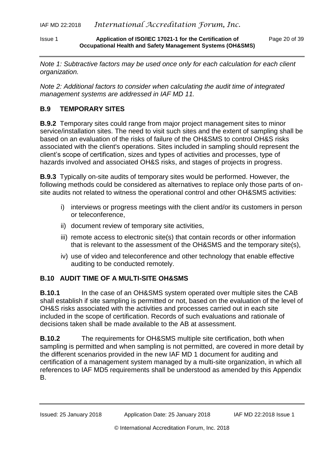#### Issue 1 **Application of ISO/IEC 17021-1 for the Certification of** Page 20 of 39 **Occupational Health and Safety Management Systems (OH&SMS)**

*Note 1: Subtractive factors may be used once only for each calculation for each client organization.*

*Note 2: Additional factors to consider when calculating the audit time of integrated management systems are addressed in IAF MD 11.*

# **B.9 TEMPORARY SITES**

**B.9.2** Temporary sites could range from major project management sites to minor service/installation sites. The need to visit such sites and the extent of sampling shall be based on an evaluation of the risks of failure of the OH&SMS to control OH&S risks associated with the client's operations. Sites included in sampling should represent the client's scope of certification, sizes and types of activities and processes, type of hazards involved and associated OH&S risks, and stages of projects in progress.

**B.9.3** Typically on-site audits of temporary sites would be performed. However, the following methods could be considered as alternatives to replace only those parts of onsite audits not related to witness the operational control and other OH&SMS activities:

- i) interviews or progress meetings with the client and/or its customers in person or teleconference,
- ii) document review of temporary site activities,
- iii) remote access to electronic site(s) that contain records or other information that is relevant to the assessment of the OH&SMS and the temporary site(s),
- iv) use of video and teleconference and other technology that enable effective auditing to be conducted remotely.

## **B.10 AUDIT TIME OF A MULTI-SITE OH&SMS**

**B.10.1** In the case of an OH&SMS system operated over multiple sites the CAB shall establish if site sampling is permitted or not, based on the evaluation of the level of OH&S risks associated with the activities and processes carried out in each site included in the scope of certification. Records of such evaluations and rationale of decisions taken shall be made available to the AB at assessment.

**B.10.2** The requirements for OH&SMS multiple site certification, both when sampling is permitted and when sampling is not permitted, are covered in more detail by the different scenarios provided in the new IAF MD 1 document for auditing and certification of a management system managed by a multi-site organization, in which all references to IAF MD5 requirements shall be understood as amended by this Appendix B.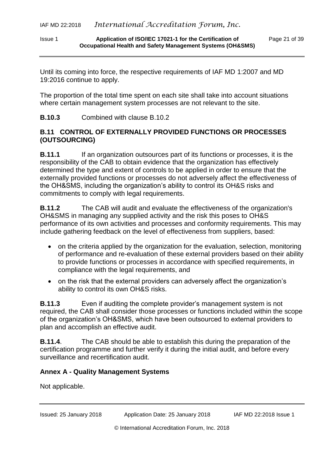#### Issue 1 **Application of ISO/IEC 17021-1 for the Certification of** Page 21 of 39 **Occupational Health and Safety Management Systems (OH&SMS)**

Until its coming into force, the respective requirements of IAF MD 1:2007 and MD 19:2016 continue to apply.

The proportion of the total time spent on each site shall take into account situations where certain management system processes are not relevant to the site.

**B.10.3** Combined with clause B.10.2

## **B.11 CONTROL OF EXTERNALLY PROVIDED FUNCTIONS OR PROCESSES (OUTSOURCING)**

**B.11.1** If an organization outsources part of its functions or processes, it is the responsibility of the CAB to obtain evidence that the organization has effectively determined the type and extent of controls to be applied in order to ensure that the externally provided functions or processes do not adversely affect the effectiveness of the OH&SMS, including the organization's ability to control its OH&S risks and commitments to comply with legal requirements.

**B.11.2** The CAB will audit and evaluate the effectiveness of the organization's OH&SMS in managing any supplied activity and the risk this poses to OH&S performance of its own activities and processes and conformity requirements. This may include gathering feedback on the level of effectiveness from suppliers, based:

- on the criteria applied by the organization for the evaluation, selection, monitoring of performance and re-evaluation of these external providers based on their ability to provide functions or processes in accordance with specified requirements, in compliance with the legal requirements, and
- on the risk that the external providers can adversely affect the organization's ability to control its own OH&S risks.

**B.11.3** Even if auditing the complete provider's management system is not required, the CAB shall consider those processes or functions included within the scope of the organization's OH&SMS, which have been outsourced to external providers to plan and accomplish an effective audit.

**B.11.4**. The CAB should be able to establish this during the preparation of the certification programme and further verify it during the initial audit, and before every surveillance and recertification audit.

## **Annex A - Quality Management Systems**

Not applicable.

Issued: 25 January 2018 Application Date: 25 January 2018 IAF MD 22:2018 Issue 1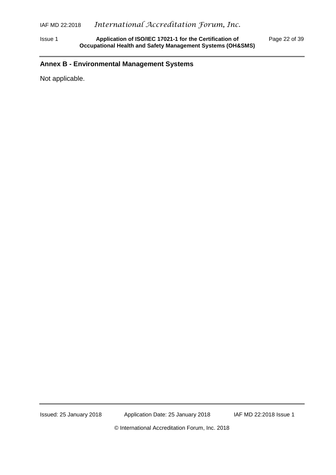Issue 1 **Application of ISO/IEC 17021-1 for the Certification of** Page 22 of 39 **Occupational Health and Safety Management Systems (OH&SMS)**

## **Annex B - Environmental Management Systems**

Not applicable.

Issued: 25 January 2018 Application Date: 25 January 2018 **IAF MD 22:2018 Issue 1**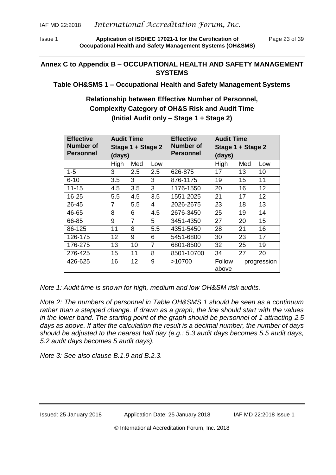Issue 1 **Application of ISO/IEC 17021-1 for the Certification of** Page 23 of 39 **Occupational Health and Safety Management Systems (OH&SMS)**

## **Annex C to Appendix B – OCCUPATIONAL HEALTH AND SAFETY MANAGEMENT SYSTEMS**

#### **Table OH&SMS 1 – Occupational Health and Safety Management Systems**

**Relationship between Effective Number of Personnel, Complexity Category of OH&S Risk and Audit Time (Initial Audit only – Stage 1 + Stage 2)**

| <b>Effective</b> | <b>Audit Time</b><br>Stage 1 + Stage 2<br>(days) |                | <b>Effective</b><br>Number of | <b>Audit Time</b><br>Stage 1 + Stage 2 |               |     |             |
|------------------|--------------------------------------------------|----------------|-------------------------------|----------------------------------------|---------------|-----|-------------|
| Number of        |                                                  |                |                               |                                        |               |     |             |
| <b>Personnel</b> |                                                  |                | <b>Personnel</b>              | (days)                                 |               |     |             |
|                  | High                                             | Med            | Low                           |                                        | High          | Med | Low         |
| $1 - 5$          | 3                                                | 2.5            | 2.5                           | 626-875                                | 17            | 13  | 10          |
| $6 - 10$         | 3.5                                              | 3              | 3                             | 876-1175                               | 19            | 15  | 11          |
| $11 - 15$        | 4.5                                              | 3.5            | 3                             | 1176-1550                              | 20            | 16  | 12          |
| 16-25            | 5.5                                              | 4.5            | 3.5                           | 1551-2025                              | 21            | 17  | 12          |
| 26-45            | 7                                                | 5.5            | 4                             | 2026-2675                              | 23            | 18  | 13          |
| 46-65            | 8                                                | 6              | 4.5                           | 2676-3450                              | 25            | 19  | 14          |
| 66-85            | 9                                                | $\overline{7}$ | 5                             | 3451-4350                              | 27            | 20  | 15          |
| 86-125           | 11                                               | 8              | 5.5                           | 4351-5450                              | 28            | 21  | 16          |
| 126-175          | 12                                               | 9              | 6                             | 5451-6800                              | 30            | 23  | 17          |
| 176-275          | 13                                               | 10             | $\overline{7}$                | 6801-8500                              | 32            | 25  | 19          |
| 276-425          | 15                                               | 11             | 8                             | 8501-10700                             | 34            | 27  | 20          |
| 426-625          | 16                                               | 12             | 9                             | >10700                                 | <b>Follow</b> |     | progression |
|                  |                                                  |                |                               |                                        | above         |     |             |

*Note 1: Audit time is shown for high, medium and low OH&SM risk audits.*

*Note 2: The numbers of personnel in Table OH&SMS 1 should be seen as a continuum rather than a stepped change. If drawn as a graph, the line should start with the values in the lower band. The starting point of the graph should be personnel of 1 attracting 2.5 days as above. If after the calculation the result is a decimal number, the number of days should be adjusted to the nearest half day (e.g.: 5.3 audit days becomes 5.5 audit days, 5.2 audit days becomes 5 audit days).*

*Note 3: See also clause B.1.9 and B.2.3.*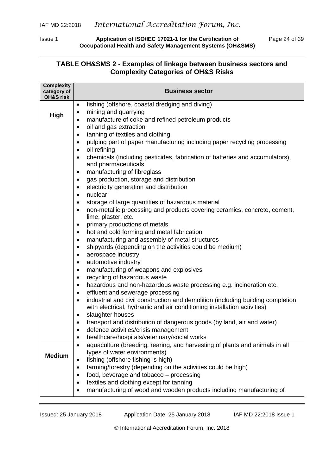Issue 1 **Application of ISO/IEC 17021-1 for the Certification of** Page 24 of 39 **Occupational Health and Safety Management Systems (OH&SMS)**

#### **TABLE OH&SMS 2 - Examples of linkage between business sectors and Complexity Categories of OH&S Risks**

| <b>Complexity</b><br>category of<br><b>OH&amp;S risk</b> | <b>Business sector</b>                                                                                                                                                                                                                                                                                                     |  |  |  |  |  |  |
|----------------------------------------------------------|----------------------------------------------------------------------------------------------------------------------------------------------------------------------------------------------------------------------------------------------------------------------------------------------------------------------------|--|--|--|--|--|--|
|                                                          | fishing (offshore, coastal dredging and diving)<br>$\bullet$                                                                                                                                                                                                                                                               |  |  |  |  |  |  |
| High                                                     | mining and quarrying<br>$\bullet$                                                                                                                                                                                                                                                                                          |  |  |  |  |  |  |
|                                                          | manufacture of coke and refined petroleum products<br>$\bullet$                                                                                                                                                                                                                                                            |  |  |  |  |  |  |
|                                                          | oil and gas extraction<br>$\bullet$<br>tanning of textiles and clothing<br>$\bullet$                                                                                                                                                                                                                                       |  |  |  |  |  |  |
|                                                          | pulping part of paper manufacturing including paper recycling processing<br>$\bullet$                                                                                                                                                                                                                                      |  |  |  |  |  |  |
|                                                          | oil refining<br>$\bullet$                                                                                                                                                                                                                                                                                                  |  |  |  |  |  |  |
|                                                          | chemicals (including pesticides, fabrication of batteries and accumulators),<br>$\bullet$                                                                                                                                                                                                                                  |  |  |  |  |  |  |
|                                                          |                                                                                                                                                                                                                                                                                                                            |  |  |  |  |  |  |
|                                                          | and pharmaceuticals<br>manufacturing of fibreglass<br>$\bullet$<br>gas production, storage and distribution<br>electricity generation and distribution<br>nuclear<br>storage of large quantities of hazardous material<br>non-metallic processing and products covering ceramics, concrete, cement,<br>lime, plaster, etc. |  |  |  |  |  |  |
|                                                          | $\bullet$                                                                                                                                                                                                                                                                                                                  |  |  |  |  |  |  |
|                                                          | $\bullet$                                                                                                                                                                                                                                                                                                                  |  |  |  |  |  |  |
|                                                          | $\bullet$                                                                                                                                                                                                                                                                                                                  |  |  |  |  |  |  |
|                                                          | $\bullet$                                                                                                                                                                                                                                                                                                                  |  |  |  |  |  |  |
|                                                          | $\bullet$                                                                                                                                                                                                                                                                                                                  |  |  |  |  |  |  |
|                                                          | primary productions of metals<br>$\bullet$                                                                                                                                                                                                                                                                                 |  |  |  |  |  |  |
|                                                          | hot and cold forming and metal fabrication<br>$\bullet$                                                                                                                                                                                                                                                                    |  |  |  |  |  |  |
|                                                          | manufacturing and assembly of metal structures<br>$\bullet$                                                                                                                                                                                                                                                                |  |  |  |  |  |  |
|                                                          | shipyards (depending on the activities could be medium)<br>$\bullet$                                                                                                                                                                                                                                                       |  |  |  |  |  |  |
|                                                          | aerospace industry<br>$\bullet$                                                                                                                                                                                                                                                                                            |  |  |  |  |  |  |
|                                                          | automotive industry<br>$\bullet$                                                                                                                                                                                                                                                                                           |  |  |  |  |  |  |
|                                                          | manufacturing of weapons and explosives<br>$\bullet$                                                                                                                                                                                                                                                                       |  |  |  |  |  |  |
|                                                          | recycling of hazardous waste<br>$\bullet$                                                                                                                                                                                                                                                                                  |  |  |  |  |  |  |
|                                                          | hazardous and non-hazardous waste processing e.g. incineration etc.<br>$\bullet$<br>effluent and sewerage processing<br>$\bullet$                                                                                                                                                                                          |  |  |  |  |  |  |
|                                                          | industrial and civil construction and demolition (including building completion<br>$\bullet$                                                                                                                                                                                                                               |  |  |  |  |  |  |
|                                                          | with electrical, hydraulic and air conditioning installation activities)                                                                                                                                                                                                                                                   |  |  |  |  |  |  |
|                                                          | slaughter houses<br>$\bullet$                                                                                                                                                                                                                                                                                              |  |  |  |  |  |  |
|                                                          | transport and distribution of dangerous goods (by land, air and water)<br>$\bullet$                                                                                                                                                                                                                                        |  |  |  |  |  |  |
|                                                          | defence activities/crisis management<br>$\bullet$                                                                                                                                                                                                                                                                          |  |  |  |  |  |  |
|                                                          | healthcare/hospitals/veterinary/social works                                                                                                                                                                                                                                                                               |  |  |  |  |  |  |
|                                                          | aquaculture (breeding, rearing, and harvesting of plants and animals in all<br>$\bullet$                                                                                                                                                                                                                                   |  |  |  |  |  |  |
| <b>Medium</b>                                            | types of water environments)                                                                                                                                                                                                                                                                                               |  |  |  |  |  |  |
|                                                          | fishing (offshore fishing is high)                                                                                                                                                                                                                                                                                         |  |  |  |  |  |  |
|                                                          | farming/forestry (depending on the activities could be high)                                                                                                                                                                                                                                                               |  |  |  |  |  |  |
|                                                          | food, beverage and tobacco - processing<br>٠                                                                                                                                                                                                                                                                               |  |  |  |  |  |  |
|                                                          | textiles and clothing except for tanning<br>$\bullet$<br>manufacturing of wood and wooden products including manufacturing of<br>$\bullet$                                                                                                                                                                                 |  |  |  |  |  |  |
|                                                          |                                                                                                                                                                                                                                                                                                                            |  |  |  |  |  |  |

Issued: 25 January 2018 Application Date: 25 January 2018 IAF MD 22:2018 Issue 1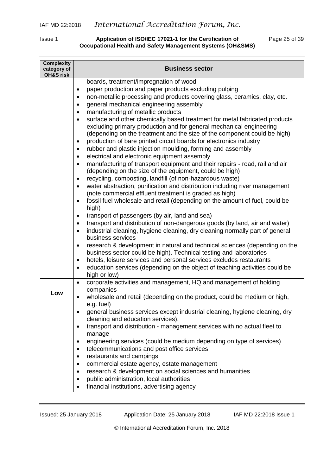#### Issue 1 **Application of ISO/IEC 17021-1 for the Certification of** Page 25 of 39 **Occupational Health and Safety Management Systems (OH&SMS)**

| <b>Complexity</b><br>category of<br><b>OH&amp;S risk</b> | <b>Business sector</b>                                                                                                                                                                                                                                                                                                                                                                                                                                    |
|----------------------------------------------------------|-----------------------------------------------------------------------------------------------------------------------------------------------------------------------------------------------------------------------------------------------------------------------------------------------------------------------------------------------------------------------------------------------------------------------------------------------------------|
|                                                          | boards, treatment/impregnation of wood<br>paper production and paper products excluding pulping<br>$\bullet$<br>non-metallic processing and products covering glass, ceramics, clay, etc.<br>$\bullet$<br>general mechanical engineering assembly<br>٠<br>manufacturing of metallic products<br>$\bullet$                                                                                                                                                 |
|                                                          | surface and other chemically based treatment for metal fabricated products<br>$\bullet$<br>excluding primary production and for general mechanical engineering<br>(depending on the treatment and the size of the component could be high)<br>production of bare printed circuit boards for electronics industry<br>rubber and plastic injection moulding, forming and assembly<br>$\bullet$<br>electrical and electronic equipment assembly<br>$\bullet$ |
|                                                          | manufacturing of transport equipment and their repairs - road, rail and air<br>$\bullet$<br>(depending on the size of the equipment, could be high)<br>recycling, composting, landfill (of non-hazardous waste)<br>$\bullet$                                                                                                                                                                                                                              |
|                                                          | water abstraction, purification and distribution including river management<br>$\bullet$<br>(note commercial effluent treatment is graded as high)<br>fossil fuel wholesale and retail (depending on the amount of fuel, could be<br>$\bullet$                                                                                                                                                                                                            |
|                                                          | high)<br>transport of passengers (by air, land and sea)<br>transport and distribution of non-dangerous goods (by land, air and water)<br>$\bullet$<br>industrial cleaning, hygiene cleaning, dry cleaning normally part of general<br>$\bullet$                                                                                                                                                                                                           |
|                                                          | business services<br>research & development in natural and technical sciences (depending on the<br>$\bullet$<br>business sector could be high). Technical testing and laboratories<br>hotels, leisure services and personal services excludes restaurants<br>٠                                                                                                                                                                                            |
|                                                          | education services (depending on the object of teaching activities could be<br>$\bullet$<br>high or low)                                                                                                                                                                                                                                                                                                                                                  |
| Low                                                      | corporate activities and management, HQ and management of holding<br>$\bullet$<br>companies<br>wholesale and retail (depending on the product, could be medium or high,                                                                                                                                                                                                                                                                                   |
|                                                          | e.g. fuel)<br>general business services except industrial cleaning, hygiene cleaning, dry<br>cleaning and education services).                                                                                                                                                                                                                                                                                                                            |
|                                                          | transport and distribution - management services with no actual fleet to<br>$\bullet$<br>manage                                                                                                                                                                                                                                                                                                                                                           |
|                                                          | engineering services (could be medium depending on type of services)<br>telecommunications and post office services<br>$\bullet$<br>restaurants and campings<br>٠                                                                                                                                                                                                                                                                                         |
|                                                          | commercial estate agency, estate management<br>$\bullet$<br>research & development on social sciences and humanities<br>٠<br>public administration, local authorities<br>٠<br>financial institutions, advertising agency                                                                                                                                                                                                                                  |

Issued: 25 January 2018 Application Date: 25 January 2018 IAF MD 22:2018 Issue 1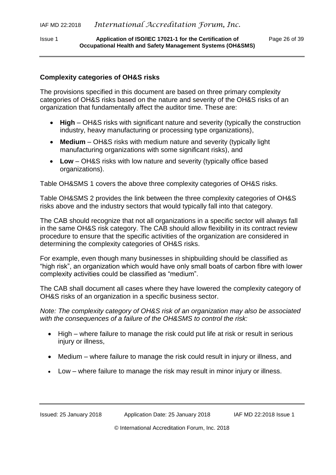#### **Complexity categories of OH&S risks**

The provisions specified in this document are based on three primary complexity categories of OH&S risks based on the nature and severity of the OH&S risks of an organization that fundamentally affect the auditor time. These are:

- **High** OH&S risks with significant nature and severity (typically the construction industry, heavy manufacturing or processing type organizations),
- **Medium** OH&S risks with medium nature and severity (typically light manufacturing organizations with some significant risks), and
- **Low** OH&S risks with low nature and severity (typically office based organizations).

Table OH&SMS 1 covers the above three complexity categories of OH&S risks.

Table OH&SMS 2 provides the link between the three complexity categories of OH&S risks above and the industry sectors that would typically fall into that category.

The CAB should recognize that not all organizations in a specific sector will always fall in the same OH&S risk category. The CAB should allow flexibility in its contract review procedure to ensure that the specific activities of the organization are considered in determining the complexity categories of OH&S risks.

For example, even though many businesses in shipbuilding should be classified as "high risk", an organization which would have only small boats of carbon fibre with lower complexity activities could be classified as "medium".

The CAB shall document all cases where they have lowered the complexity category of OH&S risks of an organization in a specific business sector.

*Note: The complexity category of OH&S risk of an organization may also be associated with the consequences of a failure of the OH&SMS to control the risk:*

- High where failure to manage the risk could put life at risk or result in serious injury or illness,
- Medium where failure to manage the risk could result in injury or illness, and
- Low where failure to manage the risk may result in minor injury or illness.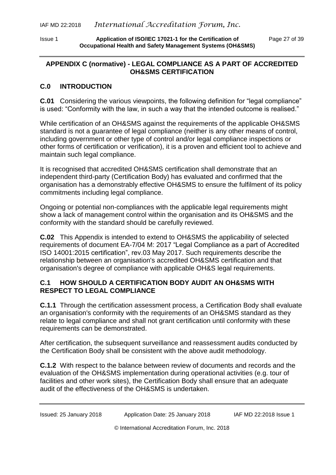## <span id="page-26-0"></span>**APPENDIX C (normative) - LEGAL COMPLIANCE AS A PART OF ACCREDITED OH&SMS CERTIFICATION**

# **C.0 INTRODUCTION**

**C.01** Considering the various viewpoints, the following definition for "legal compliance" is used: "Conformity with the law, in such a way that the intended outcome is realised."

While certification of an OH&SMS against the requirements of the applicable OH&SMS standard is not a guarantee of legal compliance (neither is any other means of control, including government or other type of control and/or legal compliance inspections or other forms of certification or verification), it is a proven and efficient tool to achieve and maintain such legal compliance.

It is recognised that accredited OH&SMS certification shall demonstrate that an independent third-party (Certification Body) has evaluated and confirmed that the organisation has a demonstrably effective OH&SMS to ensure the fulfilment of its policy commitments including legal compliance.

Ongoing or potential non-compliances with the applicable legal requirements might show a lack of management control within the organisation and its OH&SMS and the conformity with the standard should be carefully reviewed.

**C.02** This Appendix is intended to extend to OH&SMS the applicability of selected requirements of document EA-7/04 M: 2017 "Legal Compliance as a part of Accredited ISO 14001:2015 certification", rev.03 May 2017. Such requirements describe the relationship between an organisation's accredited OH&SMS certification and that organisation's degree of compliance with applicable OH&S legal requirements.

# **C.1 HOW SHOULD A CERTIFICATION BODY AUDIT AN OH&SMS WITH RESPECT TO LEGAL COMPLIANCE**

**C.1.1** Through the certification assessment process, a Certification Body shall evaluate an organisation's conformity with the requirements of an OH&SMS standard as they relate to legal compliance and shall not grant certification until conformity with these requirements can be demonstrated.

After certification, the subsequent surveillance and reassessment audits conducted by the Certification Body shall be consistent with the above audit methodology.

**C.1.2** With respect to the balance between review of documents and records and the evaluation of the OH&SMS implementation during operational activities (e.g. tour of facilities and other work sites), the Certification Body shall ensure that an adequate audit of the effectiveness of the OH&SMS is undertaken.

Issued: 25 January 2018 Application Date: 25 January 2018 IAF MD 22:2018 Issue 1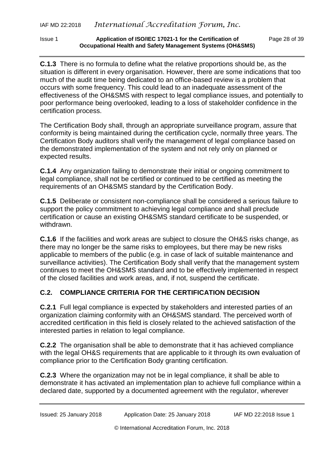Issue 1 **Application of ISO/IEC 17021-1 for the Certification of** Page 28 of 39 **Occupational Health and Safety Management Systems (OH&SMS)**

**C.1.3** There is no formula to define what the relative proportions should be, as the situation is different in every organisation. However, there are some indications that too much of the audit time being dedicated to an office-based review is a problem that occurs with some frequency. This could lead to an inadequate assessment of the effectiveness of the OH&SMS with respect to legal compliance issues, and potentially to poor performance being overlooked, leading to a loss of stakeholder confidence in the certification process.

The Certification Body shall, through an appropriate surveillance program, assure that conformity is being maintained during the certification cycle, normally three years. The Certification Body auditors shall verify the management of legal compliance based on the demonstrated implementation of the system and not rely only on planned or expected results.

**C.1.4** Any organization failing to demonstrate their initial or ongoing commitment to legal compliance, shall not be certified or continued to be certified as meeting the requirements of an OH&SMS standard by the Certification Body.

**C.1.5** Deliberate or consistent non-compliance shall be considered a serious failure to support the policy commitment to achieving legal compliance and shall preclude certification or cause an existing OH&SMS standard certificate to be suspended, or withdrawn.

**C.1.6** If the facilities and work areas are subject to closure the OH&S risks change, as there may no longer be the same risks to employees, but there may be new risks applicable to members of the public (e.g. in case of lack of suitable maintenance and surveillance activities). The Certification Body shall verify that the management system continues to meet the OH&SMS standard and to be effectively implemented in respect of the closed facilities and work areas, and, if not, suspend the certificate.

# **C.2. COMPLIANCE CRITERIA FOR THE CERTIFICATION DECISION**

**C.2.1** Full legal compliance is expected by stakeholders and interested parties of an organization claiming conformity with an OH&SMS standard. The perceived worth of accredited certification in this field is closely related to the achieved satisfaction of the interested parties in relation to legal compliance.

**C.2.2** The organisation shall be able to demonstrate that it has achieved compliance with the legal OH&S requirements that are applicable to it through its own evaluation of compliance prior to the Certification Body granting certification.

**C.2.3** Where the organization may not be in legal compliance, it shall be able to demonstrate it has activated an implementation plan to achieve full compliance within a declared date, supported by a documented agreement with the regulator, wherever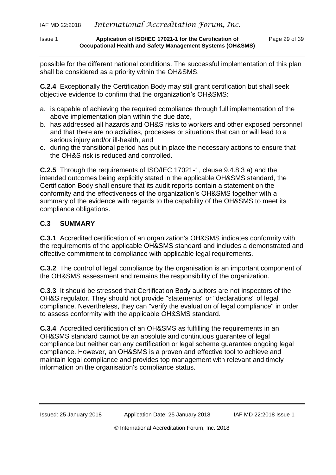possible for the different national conditions. The successful implementation of this plan shall be considered as a priority within the OH&SMS.

**C.2.4** Exceptionally the Certification Body may still grant certification but shall seek objective evidence to confirm that the organization's OH&SMS:

- a. is capable of achieving the required compliance through full implementation of the above implementation plan within the due date,
- b. has addressed all hazards and OH&S risks to workers and other exposed personnel and that there are no activities, processes or situations that can or will lead to a serious injury and/or ill-health, and
- c. during the transitional period has put in place the necessary actions to ensure that the OH&S risk is reduced and controlled.

**C.2.5** Through the requirements of ISO/IEC 17021-1, clause 9.4.8.3 a) and the intended outcomes being explicitly stated in the applicable OH&SMS standard, the Certification Body shall ensure that its audit reports contain a statement on the conformity and the effectiveness of the organization's OH&SMS together with a summary of the evidence with regards to the capability of the OH&SMS to meet its compliance obligations.

## **C.3 SUMMARY**

**C.3.1** Accredited certification of an organization's OH&SMS indicates conformity with the requirements of the applicable OH&SMS standard and includes a demonstrated and effective commitment to compliance with applicable legal requirements.

**C.3.2** The control of legal compliance by the organisation is an important component of the OH&SMS assessment and remains the responsibility of the organization.

**C.3.3** It should be stressed that Certification Body auditors are not inspectors of the OH&S regulator. They should not provide "statements" or "declarations" of legal compliance. Nevertheless, they can "verify the evaluation of legal compliance" in order to assess conformity with the applicable OH&SMS standard.

**C.3.4** Accredited certification of an OH&SMS as fulfilling the requirements in an OH&SMS standard cannot be an absolute and continuous guarantee of legal compliance but neither can any certification or legal scheme guarantee ongoing legal compliance. However, an OH&SMS is a proven and effective tool to achieve and maintain legal compliance and provides top management with relevant and timely information on the organisation's compliance status.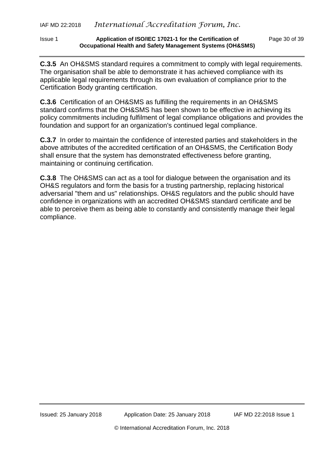#### Issue 1 **Application of ISO/IEC 17021-1 for the Certification of** Page 30 of 39 **Occupational Health and Safety Management Systems (OH&SMS)**

**C.3.5** An OH&SMS standard requires a commitment to comply with legal requirements. The organisation shall be able to demonstrate it has achieved compliance with its applicable legal requirements through its own evaluation of compliance prior to the Certification Body granting certification.

**C.3.6** Certification of an OH&SMS as fulfilling the requirements in an OH&SMS standard confirms that the OH&SMS has been shown to be effective in achieving its policy commitments including fulfilment of legal compliance obligations and provides the foundation and support for an organization's continued legal compliance.

**C.3.7** In order to maintain the confidence of interested parties and stakeholders in the above attributes of the accredited certification of an OH&SMS, the Certification Body shall ensure that the system has demonstrated effectiveness before granting, maintaining or continuing certification.

**C.3.8** The OH&SMS can act as a tool for dialogue between the organisation and its OH&S regulators and form the basis for a trusting partnership, replacing historical adversarial "them and us" relationships. OH&S regulators and the public should have confidence in organizations with an accredited OH&SMS standard certificate and be able to perceive them as being able to constantly and consistently manage their legal compliance.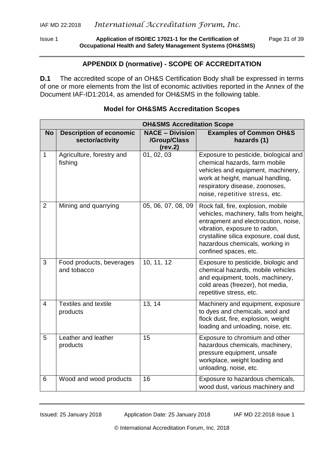Issue 1 **Application of ISO/IEC 17021-1 for the Certification of** Page 31 of 39 **Occupational Health and Safety Management Systems (OH&SMS)**

#### **APPENDIX D (normative) - SCOPE OF ACCREDITATION**

<span id="page-30-0"></span>**D.1** The accredited scope of an OH&S Certification Body shall be expressed in terms of one or more elements from the list of economic activities reported in the Annex of the Document IAF-ID1:2014, as amended for OH&SMS in the following table.

|                |                                                   | <b>OH&amp;SMS Accreditation Scope</b>             |                                                                                                                                                                                                                                                               |
|----------------|---------------------------------------------------|---------------------------------------------------|---------------------------------------------------------------------------------------------------------------------------------------------------------------------------------------------------------------------------------------------------------------|
| <b>No</b>      | <b>Description of economic</b><br>sector/activity | <b>NACE - Division</b><br>/Group/Class<br>(rev.2) | <b>Examples of Common OH&amp;S</b><br>hazards (1)                                                                                                                                                                                                             |
| 1              | Agriculture, forestry and<br>fishing              | 01, 02, 03                                        | Exposure to pesticide, biological and<br>chemical hazards, farm mobile<br>vehicles and equipment, machinery,<br>work at height, manual handling,<br>respiratory disease, zoonoses,<br>noise, repetitive stress, etc.                                          |
| $\overline{2}$ | Mining and quarrying                              | 05, 06, 07, 08, 09                                | Rock fall, fire, explosion, mobile<br>vehicles, machinery, falls from height,<br>entrapment and electrocution, noise,<br>vibration, exposure to radon,<br>crystalline silica exposure, coal dust,<br>hazardous chemicals, working in<br>confined spaces, etc. |
| 3              | Food products, beverages<br>and tobacco           | 10, 11, 12                                        | Exposure to pesticide, biologic and<br>chemical hazards, mobile vehicles<br>and equipment, tools, machinery,<br>cold areas (freezer), hot media,<br>repetitive stress, etc.                                                                                   |
| $\overline{4}$ | <b>Textiles and textile</b><br>products           | 13, 14                                            | Machinery and equipment, exposure<br>to dyes and chemicals, wool and<br>flock dust, fire, explosion, weight<br>loading and unloading, noise, etc.                                                                                                             |
| 5              | Leather and leather<br>products                   | 15                                                | Exposure to chromium and other<br>hazardous chemicals, machinery,<br>pressure equipment, unsafe<br>workplace, weight loading and<br>unloading, noise, etc.                                                                                                    |
| 6              | Wood and wood products                            | 16                                                | Exposure to hazardous chemicals,<br>wood dust, various machinery and                                                                                                                                                                                          |

#### **Model for OH&SMS Accreditation Scopes**

Issued: 25 January 2018 Application Date: 25 January 2018 IAF MD 22:2018 Issue 1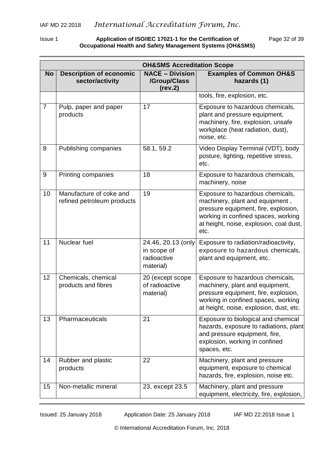Issue 1 **Application of ISO/IEC 17021-1 for the Certification of** Page 32 of 39 **Occupational Health and Safety Management Systems (OH&SMS)**

|                |                                                       | <b>OH&amp;SMS Accreditation Scope</b>                         |                                                                                                                                                                                                       |
|----------------|-------------------------------------------------------|---------------------------------------------------------------|-------------------------------------------------------------------------------------------------------------------------------------------------------------------------------------------------------|
| <b>No</b>      | <b>Description of economic</b><br>sector/activity     | <b>NACE - Division</b><br>/Group/Class<br>(rev.2)             | <b>Examples of Common OH&amp;S</b><br>hazards (1)                                                                                                                                                     |
|                |                                                       |                                                               | tools, fire, explosion, etc.                                                                                                                                                                          |
| $\overline{7}$ | Pulp, paper and paper<br>products                     | 17                                                            | Exposure to hazardous chemicals,<br>plant and pressure equipment,<br>machinery, fire, explosion, unsafe<br>workplace (heat radiation, dust),<br>noise, etc.                                           |
| 8              | Publishing companies                                  | 58.1, 59.2                                                    | Video Display Terminal (VDT), body<br>posture, lighting, repetitive stress,<br>etc.                                                                                                                   |
| $9\,$          | Printing companies                                    | 18                                                            | Exposure to hazardous chemicals,<br>machinery, noise                                                                                                                                                  |
| 10             | Manufacture of coke and<br>refined petroleum products | 19                                                            | Exposure to hazardous chemicals,<br>machinery, plant and equipment,<br>pressure equipment, fire, explosion,<br>working in confined spaces, working<br>at height, noise, explosion, coal dust,<br>etc. |
| 11             | Nuclear fuel                                          | 24.46, 20.13 (only<br>in scope of<br>radioactive<br>material) | Exposure to radiation/radioactivity,<br>exposure to hazardous chemicals,<br>plant and equipment, etc.                                                                                                 |
| 12             | Chemicals, chemical<br>products and fibres            | 20 (except scope<br>of radioactive<br>material)               | Exposure to hazardous chemicals,<br>machinery, plant and equipment,<br>pressure equipment, fire, explosion,<br>working in confined spaces, working<br>at height, noise, explosion, dust, etc.         |
| 13             | Pharmaceuticals                                       | 21                                                            | Exposure to biological and chemical<br>hazards, exposure to radiations, plant<br>and pressure equipment, fire,<br>explosion, working in confined<br>spaces, etc.                                      |
| 14             | Rubber and plastic<br>products                        | 22                                                            | Machinery, plant and pressure<br>equipment, exposure to chemical<br>hazards, fire, explosion, noise etc.                                                                                              |
| 15             | Non-metallic mineral                                  | 23, except 23.5                                               | Machinery, plant and pressure<br>equipment, electricity, fire, explosion,                                                                                                                             |

Issued: 25 January 2018 Application Date: 25 January 2018 IAF MD 22:2018 Issue 1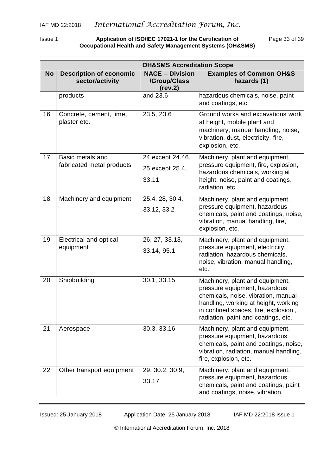Issue 1 **Application of ISO/IEC 17021-1 for the Certification of** Page 33 of 39 **Occupational Health and Safety Management Systems (OH&SMS)**

|           |                                                   | <b>OH&amp;SMS Accreditation Scope</b>             |                                                                                                                                                                                                                                |
|-----------|---------------------------------------------------|---------------------------------------------------|--------------------------------------------------------------------------------------------------------------------------------------------------------------------------------------------------------------------------------|
| <b>No</b> | <b>Description of economic</b><br>sector/activity | <b>NACE - Division</b><br>/Group/Class<br>(rev.2) | <b>Examples of Common OH&amp;S</b><br>hazards (1)                                                                                                                                                                              |
|           | products                                          | and 23.6                                          | hazardous chemicals, noise, paint<br>and coatings, etc.                                                                                                                                                                        |
| 16        | Concrete, cement, lime,<br>plaster etc.           | 23.5, 23.6                                        | Ground works and excavations work<br>at height, mobile plant and<br>machinery, manual handling, noise,<br>vibration, dust, electricity, fire,<br>explosion, etc.                                                               |
| 17        | Basic metals and                                  | 24 except 24.46,                                  | Machinery, plant and equipment,                                                                                                                                                                                                |
|           | fabricated metal products                         | 25 except 25.4,                                   | pressure equipment, fire, explosion,<br>hazardous chemicals, working at                                                                                                                                                        |
|           |                                                   | 33.11                                             | height, noise, paint and coatings,<br>radiation, etc.                                                                                                                                                                          |
| 18        | Machinery and equipment                           | 25.4, 28, 30.4,                                   | Machinery, plant and equipment,                                                                                                                                                                                                |
|           |                                                   | 33.12, 33.2                                       | pressure equipment, hazardous<br>chemicals, paint and coatings, noise,<br>vibration, manual handling, fire,<br>explosion, etc.                                                                                                 |
| 19        | Electrical and optical                            | 26, 27, 33.13,                                    | Machinery, plant and equipment,                                                                                                                                                                                                |
|           | equipment                                         | 33.14, 95.1                                       | pressure equipment, electricity,<br>radiation, hazardous chemicals,<br>noise, vibration, manual handling,<br>etc.                                                                                                              |
| 20        | Shipbuilding                                      | 30.1, 33.15                                       | Machinery, plant and equipment,<br>pressure equipment, hazardous<br>chemicals, noise, vibration, manual<br>handling, working at height, working<br>in confined spaces, fire, explosion,<br>radiation, paint and coatings, etc. |
| 21        | Aerospace                                         | 30.3, 33.16                                       | Machinery, plant and equipment,<br>pressure equipment, hazardous<br>chemicals, paint and coatings, noise,<br>vibration, radiation, manual handling,<br>fire, explosion, etc.                                                   |
| 22        | Other transport equipment                         | 29, 30.2, 30.9,<br>33.17                          | Machinery, plant and equipment,<br>pressure equipment, hazardous<br>chemicals, paint and coatings, paint<br>and coatings, noise, vibration,                                                                                    |

Issued: 25 January 2018 Application Date: 25 January 2018 IAF MD 22:2018 Issue 1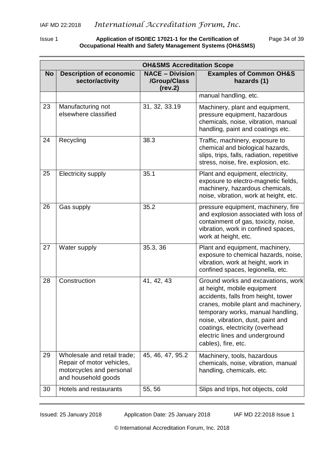Issue 1 **Application of ISO/IEC 17021-1 for the Certification of** Page 34 of 39 **Occupational Health and Safety Management Systems (OH&SMS)**

|           | <b>OH&amp;SMS Accreditation Scope</b>                                                                       |                                                   |                                                                                                                                                                                                                                                                                                                       |  |  |  |
|-----------|-------------------------------------------------------------------------------------------------------------|---------------------------------------------------|-----------------------------------------------------------------------------------------------------------------------------------------------------------------------------------------------------------------------------------------------------------------------------------------------------------------------|--|--|--|
| <b>No</b> | <b>Description of economic</b><br>sector/activity                                                           | <b>NACE - Division</b><br>/Group/Class<br>(rev.2) | <b>Examples of Common OH&amp;S</b><br>hazards (1)                                                                                                                                                                                                                                                                     |  |  |  |
|           |                                                                                                             |                                                   | manual handling, etc.                                                                                                                                                                                                                                                                                                 |  |  |  |
| 23        | Manufacturing not<br>elsewhere classified                                                                   | 31, 32, 33.19                                     | Machinery, plant and equipment,<br>pressure equipment, hazardous<br>chemicals, noise, vibration, manual<br>handling, paint and coatings etc.                                                                                                                                                                          |  |  |  |
| 24        | Recycling                                                                                                   | 38.3                                              | Traffic, machinery, exposure to<br>chemical and biological hazards,<br>slips, trips, falls, radiation, repetitive<br>stress, noise, fire, explosion, etc.                                                                                                                                                             |  |  |  |
| 25        | Electricity supply                                                                                          | 35.1                                              | Plant and equipment, electricity,<br>exposure to electro-magnetic fields,<br>machinery, hazardous chemicals,<br>noise, vibration, work at height, etc.                                                                                                                                                                |  |  |  |
| 26        | Gas supply                                                                                                  | 35.2                                              | pressure equipment, machinery, fire<br>and explosion associated with loss of<br>containment of gas, toxicity, noise,<br>vibration, work in confined spaces,<br>work at height, etc.                                                                                                                                   |  |  |  |
| 27        | Water supply                                                                                                | 35.3, 36                                          | Plant and equipment, machinery,<br>exposure to chemical hazards, noise,<br>vibration, work at height, work in<br>confined spaces, legionella, etc.                                                                                                                                                                    |  |  |  |
| 28        | Construction                                                                                                | 41, 42, 43                                        | Ground works and excavations, work<br>at height, mobile equipment<br>accidents, falls from height, tower<br>cranes, mobile plant and machinery,<br>temporary works, manual handling,<br>noise, vibration, dust, paint and<br>coatings, electricity (overhead<br>electric lines and underground<br>cables), fire, etc. |  |  |  |
| 29        | Wholesale and retail trade;<br>Repair of motor vehicles,<br>motorcycles and personal<br>and household goods | 45, 46, 47, 95.2                                  | Machinery, tools, hazardous<br>chemicals, noise, vibration, manual<br>handling, chemicals, etc.                                                                                                                                                                                                                       |  |  |  |
| 30        | Hotels and restaurants                                                                                      | 55, 56                                            | Slips and trips, hot objects, cold                                                                                                                                                                                                                                                                                    |  |  |  |

Issued: 25 January 2018 Application Date: 25 January 2018 IAF MD 22:2018 Issue 1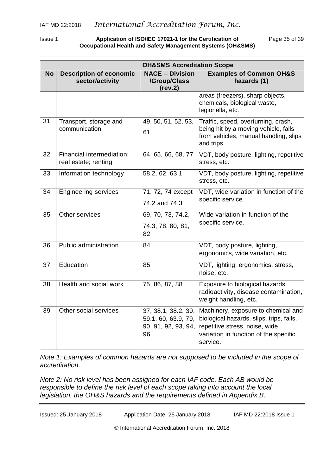Issue 1 **Application of ISO/IEC 17021-1 for the Certification of** Page 35 of 39 **Occupational Health and Safety Management Systems (OH&SMS)**

|           |                                                   | <b>OH&amp;SMS Accreditation Scope</b>                                   |                                                                                                                                                                        |
|-----------|---------------------------------------------------|-------------------------------------------------------------------------|------------------------------------------------------------------------------------------------------------------------------------------------------------------------|
| <b>No</b> | <b>Description of economic</b><br>sector/activity | <b>NACE - Division</b><br>/Group/Class<br>(rev.2)                       | <b>Examples of Common OH&amp;S</b><br>hazards (1)                                                                                                                      |
|           |                                                   |                                                                         | areas (freezers), sharp objects,<br>chemicals, biological waste,<br>legionella, etc.                                                                                   |
| 31        | Transport, storage and<br>communication           | 49, 50, 51, 52, 53,<br>61                                               | Traffic, speed, overturning, crash,<br>being hit by a moving vehicle, falls<br>from vehicles, manual handling, slips<br>and trips                                      |
| 32        | Financial intermediation;<br>real estate; renting | 64, 65, 66, 68, 77                                                      | VDT, body posture, lighting, repetitive<br>stress, etc.                                                                                                                |
| 33        | Information technology                            | 58.2, 62, 63.1                                                          | VDT, body posture, lighting, repetitive<br>stress, etc.                                                                                                                |
| 34        | <b>Engineering services</b>                       | 71, 72, 74 except<br>74.2 and 74.3                                      | VDT, wide variation in function of the<br>specific service.                                                                                                            |
| 35        | Other services                                    | 69, 70, 73, 74.2,<br>74.3, 78, 80, 81,<br>82                            | Wide variation in function of the<br>specific service.                                                                                                                 |
| 36        | Public administration                             | 84                                                                      | VDT, body posture, lighting,<br>ergonomics, wide variation, etc.                                                                                                       |
| 37        | Education                                         | 85                                                                      | VDT, lighting, ergonomics, stress,<br>noise, etc.                                                                                                                      |
| 38        | Health and social work                            | 75, 86, 87, 88                                                          | Exposure to biological hazards,<br>radioactivity, disease contamination,<br>weight handling, etc.                                                                      |
| 39        | Other social services                             | 37, 38.1, 38.2, 39,<br>59.1, 60, 63.9, 79,<br>90, 91, 92, 93, 94,<br>96 | Machinery, exposure to chemical and<br>biological hazards, slips, trips, falls,<br>repetitive stress, noise, wide<br>variation in function of the specific<br>service. |

*Note 1: Examples of common hazards are not supposed to be included in the scope of accreditation.*

*Note 2: No risk level has been assigned for each IAF code. Each AB would be responsible to define the risk level of each scope taking into account the local legislation, the OH&S hazards and the requirements defined in Appendix B.*

| IAF MD 22:2018 Issue 1<br>Issued: 25 January 2018<br>Application Date: 25 January 2018 |  |
|----------------------------------------------------------------------------------------|--|
|----------------------------------------------------------------------------------------|--|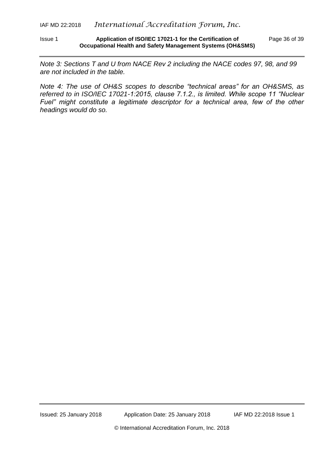Issue 1 **Application of ISO/IEC 17021-1 for the Certification of** Page 36 of 39 **Occupational Health and Safety Management Systems (OH&SMS)**

*Note 3: Sections T and U from NACE Rev 2 including the NACE codes 97, 98, and 99 are not included in the table.*

*Note 4: The use of OH&S scopes to describe "technical areas" for an OH&SMS, as referred to in ISO/IEC 17021-1:2015, clause 7.1.2., is limited. While scope 11 "Nuclear Fuel"* might constitute a legitimate descriptor for a technical area, few of the other *headings would do so.*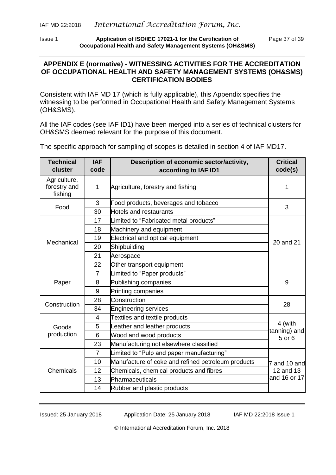Issue 1 **Application of ISO/IEC 17021-1 for the Certification of** Page 37 of 39 **Occupational Health and Safety Management Systems (OH&SMS)**

#### <span id="page-36-0"></span>**APPENDIX E (normative) - WITNESSING ACTIVITIES FOR THE ACCREDITATION OF OCCUPATIONAL HEALTH AND SAFETY MANAGEMENT SYSTEMS (OH&SMS) CERTIFICATION BODIES**

Consistent with IAF MD 17 (which is fully applicable), this Appendix specifies the witnessing to be performed in Occupational Health and Safety Management Systems (OH&SMS).

All the IAF codes (see IAF ID1) have been merged into a series of technical clusters for OH&SMS deemed relevant for the purpose of this document.

The specific approach for sampling of scopes is detailed in section 4 of IAF MD17.

| <b>Technical</b><br>cluster             | <b>IAF</b><br>code | Description of economic sector/activity,<br>according to IAF ID1 | <b>Critical</b><br>code(s)                |
|-----------------------------------------|--------------------|------------------------------------------------------------------|-------------------------------------------|
| Agriculture,<br>forestry and<br>fishing | 1                  | Agriculture, forestry and fishing                                | 1                                         |
| Food                                    | 3                  | Food products, beverages and tobacco                             | 3                                         |
|                                         | 30                 | <b>Hotels and restaurants</b>                                    |                                           |
| Mechanical                              | 17                 | Limited to "Fabricated metal products"                           | 20 and 21                                 |
|                                         | 18                 | Machinery and equipment                                          |                                           |
|                                         | 19                 | Electrical and optical equipment                                 |                                           |
|                                         | 20                 | Shipbuilding                                                     |                                           |
|                                         | 21                 | Aerospace                                                        |                                           |
|                                         | 22                 | Other transport equipment                                        |                                           |
| Paper                                   | $\overline{7}$     | Limited to "Paper products"                                      | 9                                         |
|                                         | 8                  | Publishing companies                                             |                                           |
|                                         | 9                  | Printing companies                                               |                                           |
| Construction                            | 28                 | Construction                                                     | 28                                        |
|                                         | 34                 | <b>Engineering services</b>                                      |                                           |
| Goods<br>production                     | 4                  | <b>Textiles and textile products</b>                             | 4 (with<br>tanning) and<br>5 or 6         |
|                                         | 5                  | Leather and leather products                                     |                                           |
|                                         | 6                  | Wood and wood products                                           |                                           |
|                                         | 23                 | Manufacturing not elsewhere classified                           |                                           |
| Chemicals                               | $\overline{7}$     | Limited to "Pulp and paper manufacturing"                        | 7 and 10 and<br>12 and 13<br>and 16 or 17 |
|                                         | 10                 | Manufacture of coke and refined petroleum products               |                                           |
|                                         | 12                 | Chemicals, chemical products and fibres                          |                                           |
|                                         | 13                 | Pharmaceuticals                                                  |                                           |
|                                         | 14                 | Rubber and plastic products                                      |                                           |

Issued: 25 January 2018 Application Date: 25 January 2018 IAF MD 22:2018 Issue 1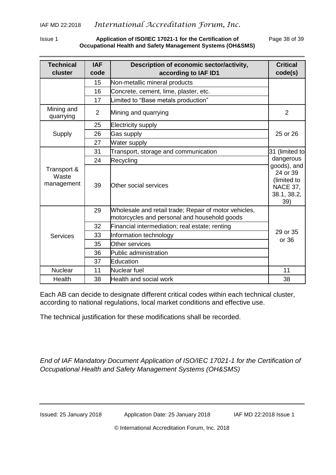#### Issue 1 **Application of ISO/IEC 17021-1 for the Certification of** Page 38 of 39 **Occupational Health and Safety Management Systems (OH&SMS)**

| <b>Technical</b><br>cluster        | <b>IAF</b><br>code | Description of economic sector/activity,<br>according to IAF ID1                                      | <b>Critical</b><br>code(s)                                                                                     |
|------------------------------------|--------------------|-------------------------------------------------------------------------------------------------------|----------------------------------------------------------------------------------------------------------------|
|                                    | 15                 | Non-metallic mineral products                                                                         |                                                                                                                |
|                                    | 16                 | Concrete, cement, lime, plaster, etc.                                                                 |                                                                                                                |
|                                    | 17                 | Limited to "Base metals production"                                                                   |                                                                                                                |
| Mining and<br>quarrying            | $\overline{2}$     | Mining and quarrying                                                                                  | $\overline{2}$                                                                                                 |
| Supply                             | 25                 | <b>Electricity supply</b>                                                                             | 25 or 26                                                                                                       |
|                                    | 26                 | Gas supply                                                                                            |                                                                                                                |
|                                    | 27                 | Water supply                                                                                          |                                                                                                                |
| Transport &<br>Waste<br>management | 31                 | Transport, storage and communication                                                                  | 31 (limited to<br>dangerous<br>goods), and<br>24 or 39<br>(limited to<br><b>NACE 37,</b><br>38.1, 38.2,<br>39) |
|                                    | 24                 | Recycling                                                                                             |                                                                                                                |
|                                    | 39                 | Other social services                                                                                 |                                                                                                                |
| <b>Services</b>                    | 29                 | Wholesale and retail trade; Repair of motor vehicles,<br>motorcycles and personal and household goods | 29 or 35<br>or 36                                                                                              |
|                                    | 32                 | Financial intermediation; real estate; renting                                                        |                                                                                                                |
|                                    | 33                 | Information technology                                                                                |                                                                                                                |
|                                    | 35                 | Other services                                                                                        |                                                                                                                |
|                                    | 36                 | Public administration                                                                                 |                                                                                                                |
|                                    | 37                 | Education                                                                                             |                                                                                                                |
| <b>Nuclear</b>                     | 11                 | Nuclear fuel                                                                                          | 11                                                                                                             |
| Health                             | 38                 | Health and social work                                                                                | 38                                                                                                             |

Each AB can decide to designate different critical codes within each technical cluster, according to national regulations, local market conditions and effective use.

The technical justification for these modifications shall be recorded.

*End of IAF Mandatory Document Application of ISO/IEC 17021-1 for the Certification of Occupational Health and Safety Management Systems (OH&SMS)*

Issued: 25 January 2018 Application Date: 25 January 2018 IAF MD 22:2018 Issue 1